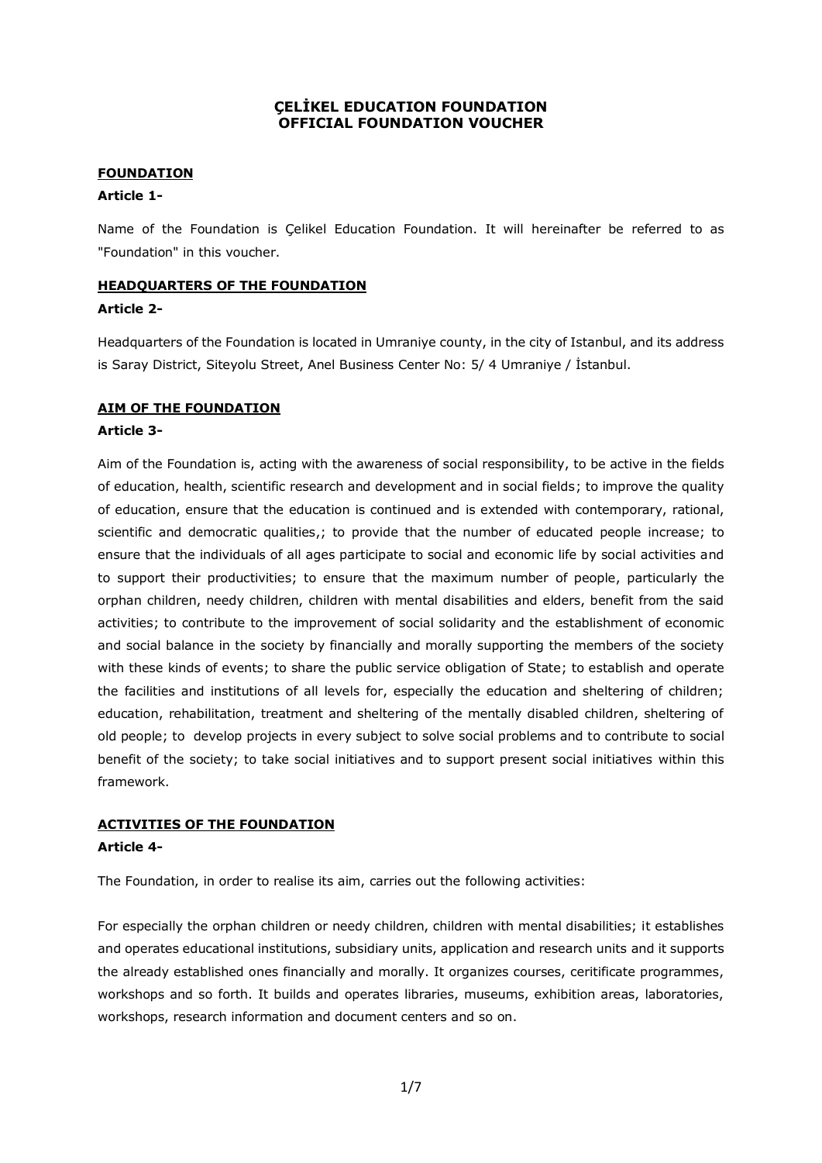# **ÇELİKEL EDUCATION FOUNDATION OFFICIAL FOUNDATION VOUCHER**

# **FOUNDATION**

# **Article 1-**

Name of the Foundation is Çelikel Education Foundation. It will hereinafter be referred to as "Foundation" in this voucher.

# **HEADQUARTERS OF THE FOUNDATION**

### **Article 2-**

Headquarters of the Foundation is located in Umraniye county, in the city of Istanbul, and its address is Saray District, Siteyolu Street, Anel Business Center No: 5/ 4 Umraniye / İstanbul.

# **AIM OF THE FOUNDATION**

### **Article 3-**

Aim of the Foundation is, acting with the awareness of social responsibility, to be active in the fields of education, health, scientific research and development and in social fields; to improve the quality of education, ensure that the education is continued and is extended with contemporary, rational, scientific and democratic qualities,; to provide that the number of educated people increase; to ensure that the individuals of all ages participate to social and economic life by social activities and to support their productivities; to ensure that the maximum number of people, particularly the orphan children, needy children, children with mental disabilities and elders, benefit from the said activities; to contribute to the improvement of social solidarity and the establishment of economic and social balance in the society by financially and morally supporting the members of the society with these kinds of events; to share the public service obligation of State; to establish and operate the facilities and institutions of all levels for, especially the education and sheltering of children; education, rehabilitation, treatment and sheltering of the mentally disabled children, sheltering of old people; to develop projects in every subject to solve social problems and to contribute to social benefit of the society; to take social initiatives and to support present social initiatives within this framework.

# **ACTIVITIES OF THE FOUNDATION Article 4-**

The Foundation, in order to realise its aim, carries out the following activities:

For especially the orphan children or needy children, children with mental disabilities; it establishes and operates educational institutions, subsidiary units, application and research units and it supports the already established ones financially and morally. It organizes courses, ceritificate programmes, workshops and so forth. It builds and operates libraries, museums, exhibition areas, laboratories, workshops, research information and document centers and so on.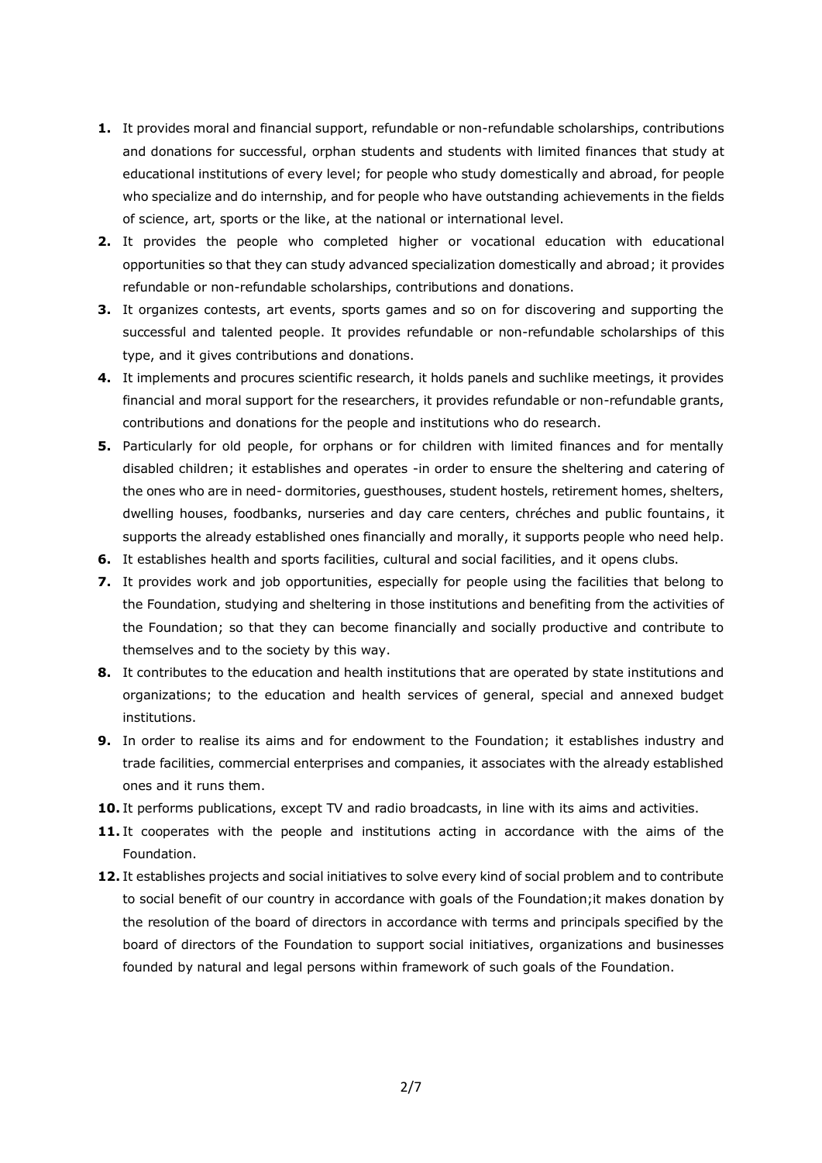- **1.** It provides moral and financial support, refundable or non-refundable scholarships, contributions and donations for successful, orphan students and students with limited finances that study at educational institutions of every level; for people who study domestically and abroad, for people who specialize and do internship, and for people who have outstanding achievements in the fields of science, art, sports or the like, at the national or international level.
- **2.** It provides the people who completed higher or vocational education with educational opportunities so that they can study advanced specialization domestically and abroad; it provides refundable or non-refundable scholarships, contributions and donations.
- **3.** It organizes contests, art events, sports games and so on for discovering and supporting the successful and talented people. It provides refundable or non-refundable scholarships of this type, and it gives contributions and donations.
- **4.** It implements and procures scientific research, it holds panels and suchlike meetings, it provides financial and moral support for the researchers, it provides refundable or non-refundable grants, contributions and donations for the people and institutions who do research.
- **5.** Particularly for old people, for orphans or for children with limited finances and for mentally disabled children; it establishes and operates -in order to ensure the sheltering and catering of the ones who are in need- dormitories, guesthouses, student hostels, retirement homes, shelters, dwelling houses, foodbanks, nurseries and day care centers, chréches and public fountains, it supports the already established ones financially and morally, it supports people who need help.
- **6.** It establishes health and sports facilities, cultural and social facilities, and it opens clubs.
- **7.** It provides work and job opportunities, especially for people using the facilities that belong to the Foundation, studying and sheltering in those institutions and benefiting from the activities of the Foundation; so that they can become financially and socially productive and contribute to themselves and to the society by this way.
- **8.** It contributes to the education and health institutions that are operated by state institutions and organizations; to the education and health services of general, special and annexed budget institutions.
- **9.** In order to realise its aims and for endowment to the Foundation; it establishes industry and trade facilities, commercial enterprises and companies, it associates with the already established ones and it runs them.
- **10.** It performs publications, except TV and radio broadcasts, in line with its aims and activities.
- **11.** It cooperates with the people and institutions acting in accordance with the aims of the Foundation.
- **12.** It establishes projects and social initiatives to solve every kind of social problem and to contribute to social benefit of our country in accordance with goals of the Foundation;it makes donation by the resolution of the board of directors in accordance with terms and principals specified by the board of directors of the Foundation to support social initiatives, organizations and businesses founded by natural and legal persons within framework of such goals of the Foundation.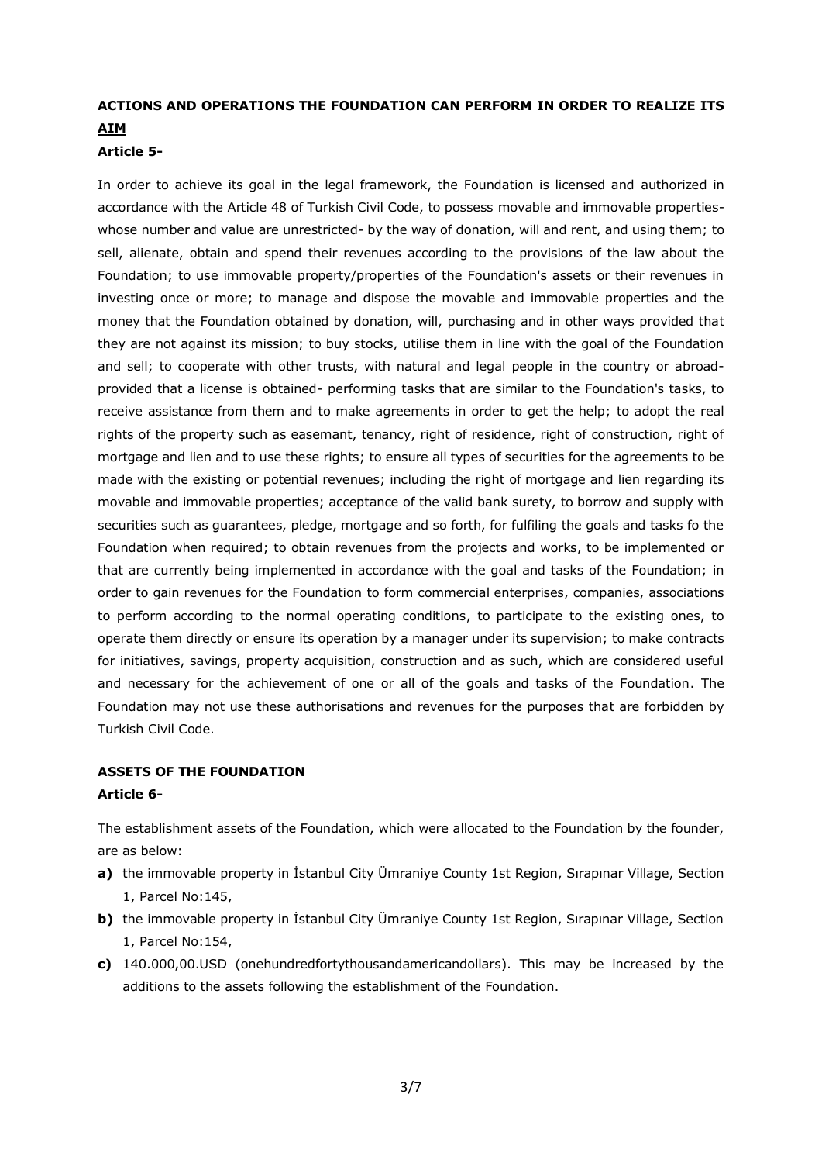# **ACTIONS AND OPERATIONS THE FOUNDATION CAN PERFORM IN ORDER TO REALIZE ITS AIM**

# **Article 5-**

In order to achieve its goal in the legal framework, the Foundation is licensed and authorized in accordance with the Article 48 of Turkish Civil Code, to possess movable and immovable propertieswhose number and value are unrestricted- by the way of donation, will and rent, and using them; to sell, alienate, obtain and spend their revenues according to the provisions of the law about the Foundation; to use immovable property/properties of the Foundation's assets or their revenues in investing once or more; to manage and dispose the movable and immovable properties and the money that the Foundation obtained by donation, will, purchasing and in other ways provided that they are not against its mission; to buy stocks, utilise them in line with the goal of the Foundation and sell; to cooperate with other trusts, with natural and legal people in the country or abroadprovided that a license is obtained- performing tasks that are similar to the Foundation's tasks, to receive assistance from them and to make agreements in order to get the help; to adopt the real rights of the property such as easemant, tenancy, right of residence, right of construction, right of mortgage and lien and to use these rights; to ensure all types of securities for the agreements to be made with the existing or potential revenues; including the right of mortgage and lien regarding its movable and immovable properties; acceptance of the valid bank surety, to borrow and supply with securities such as guarantees, pledge, mortgage and so forth, for fulfiling the goals and tasks fo the Foundation when required; to obtain revenues from the projects and works, to be implemented or that are currently being implemented in accordance with the goal and tasks of the Foundation; in order to gain revenues for the Foundation to form commercial enterprises, companies, associations to perform according to the normal operating conditions, to participate to the existing ones, to operate them directly or ensure its operation by a manager under its supervision; to make contracts for initiatives, savings, property acquisition, construction and as such, which are considered useful and necessary for the achievement of one or all of the goals and tasks of the Foundation. The Foundation may not use these authorisations and revenues for the purposes that are forbidden by Turkish Civil Code.

### **ASSETS OF THE FOUNDATION**

### **Article 6-**

The establishment assets of the Foundation, which were allocated to the Foundation by the founder, are as below:

- **a)** the immovable property in Istanbul City Ümraniye County 1st Region, Sırapınar Village, Section 1, Parcel No:145,
- **b)** the immovable property in Istanbul City Ümraniye County 1st Region, Sırapınar Village, Section 1, Parcel No:154,
- **c)** 140.000,00.USD (onehundredfortythousandamericandollars). This may be increased by the additions to the assets following the establishment of the Foundation.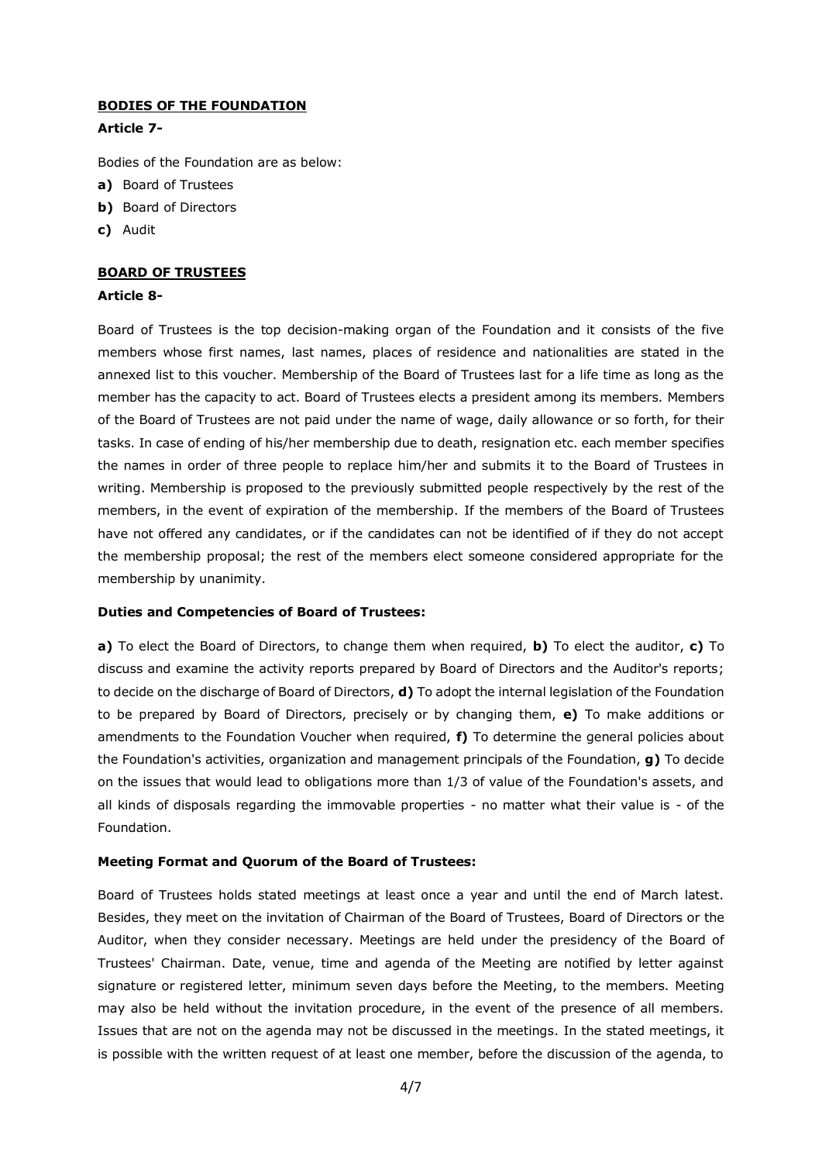### **BODIES OF THE FOUNDATION**

### **Article 7-**

Bodies of the Foundation are as below:

- **a)** Board of Trustees
- **b)** Board of Directors
- **c)** Audit

### **BOARD OF TRUSTEES**

### **Article 8-**

Board of Trustees is the top decision-making organ of the Foundation and it consists of the five members whose first names, last names, places of residence and nationalities are stated in the annexed list to this voucher. Membership of the Board of Trustees last for a life time as long as the member has the capacity to act. Board of Trustees elects a president among its members. Members of the Board of Trustees are not paid under the name of wage, daily allowance or so forth, for their tasks. In case of ending of his/her membership due to death, resignation etc. each member specifies the names in order of three people to replace him/her and submits it to the Board of Trustees in writing. Membership is proposed to the previously submitted people respectively by the rest of the members, in the event of expiration of the membership. If the members of the Board of Trustees have not offered any candidates, or if the candidates can not be identified of if they do not accept the membership proposal; the rest of the members elect someone considered appropriate for the membership by unanimity.

### **Duties and Competencies of Board of Trustees:**

**a)** To elect the Board of Directors, to change them when required, **b)** To elect the auditor, **c)** To discuss and examine the activity reports prepared by Board of Directors and the Auditor's reports; to decide on the discharge of Board of Directors, **d)** To adopt the internal legislation of the Foundation to be prepared by Board of Directors, precisely or by changing them, **e)** To make additions or amendments to the Foundation Voucher when required, **f)** To determine the general policies about the Foundation's activities, organization and management principals of the Foundation, **g)** To decide on the issues that would lead to obligations more than 1/3 of value of the Foundation's assets, and all kinds of disposals regarding the immovable properties - no matter what their value is - of the Foundation.

### **Meeting Format and Quorum of the Board of Trustees:**

Board of Trustees holds stated meetings at least once a year and until the end of March latest. Besides, they meet on the invitation of Chairman of the Board of Trustees, Board of Directors or the Auditor, when they consider necessary. Meetings are held under the presidency of the Board of Trustees' Chairman. Date, venue, time and agenda of the Meeting are notified by letter against signature or registered letter, minimum seven days before the Meeting, to the members. Meeting may also be held without the invitation procedure, in the event of the presence of all members. Issues that are not on the agenda may not be discussed in the meetings. In the stated meetings, it is possible with the written request of at least one member, before the discussion of the agenda, to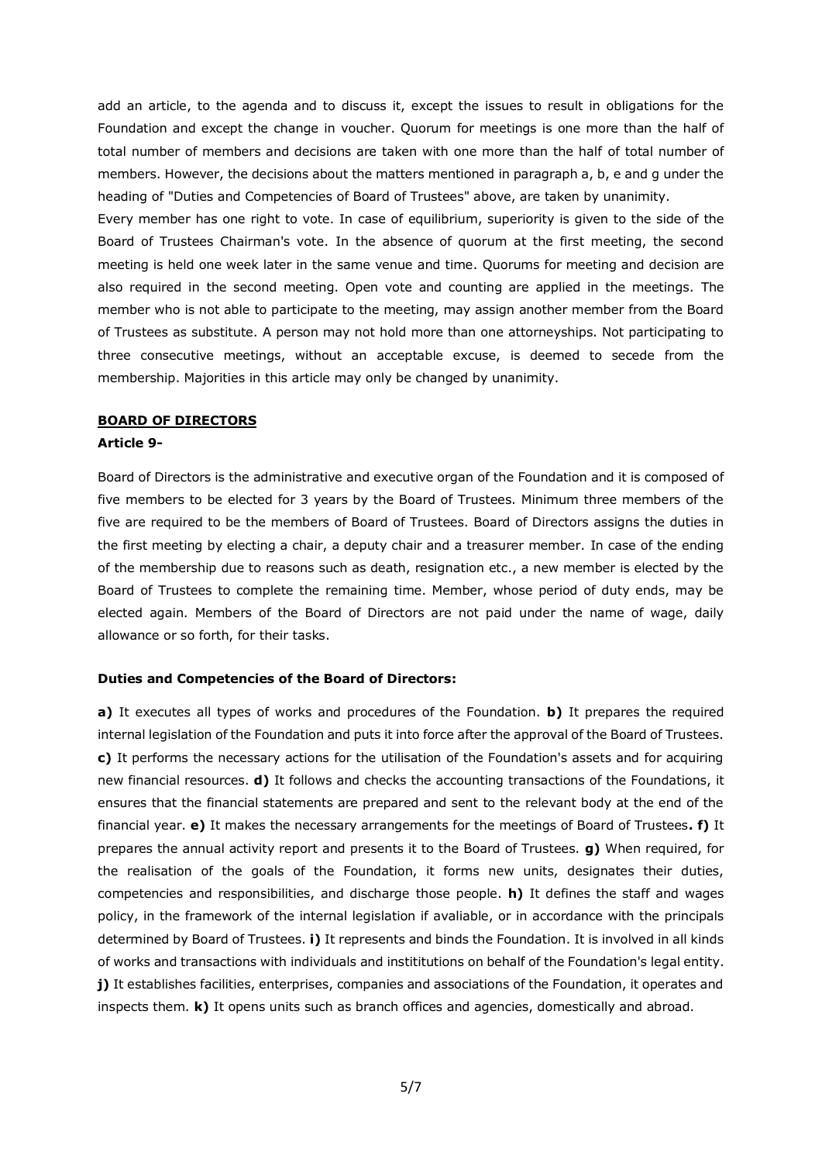add an article, to the agenda and to discuss it, except the issues to result in obligations for the Foundation and except the change in voucher. Quorum for meetings is one more than the half of total number of members and decisions are taken with one more than the half of total number of members. However, the decisions about the matters mentioned in paragraph a, b, e and g under the heading of "Duties and Competencies of Board of Trustees" above, are taken by unanimity.

Every member has one right to vote. In case of equilibrium, superiority is given to the side of the Board of Trustees Chairman's vote. In the absence of quorum at the first meeting, the second meeting is held one week later in the same venue and time. Quorums for meeting and decision are also required in the second meeting. Open vote and counting are applied in the meetings. The member who is not able to participate to the meeting, may assign another member from the Board of Trustees as substitute. A person may not hold more than one attorneyships. Not participating to three consecutive meetings, without an acceptable excuse, is deemed to secede from the membership. Majorities in this article may only be changed by unanimity.

#### **BOARD OF DIRECTORS**

#### **Article 9-**

Board of Directors is the administrative and executive organ of the Foundation and it is composed of five members to be elected for 3 years by the Board of Trustees. Minimum three members of the five are required to be the members of Board of Trustees. Board of Directors assigns the duties in the first meeting by electing a chair, a deputy chair and a treasurer member. In case of the ending of the membership due to reasons such as death, resignation etc., a new member is elected by the Board of Trustees to complete the remaining time. Member, whose period of duty ends, may be elected again. Members of the Board of Directors are not paid under the name of wage, daily allowance or so forth, for their tasks.

### **Duties and Competencies of the Board of Directors:**

**a)** It executes all types of works and procedures of the Foundation. **b)** It prepares the required internal legislation of the Foundation and puts it into force after the approval of the Board of Trustees. **c)** It performs the necessary actions for the utilisation of the Foundation's assets and for acquiring new financial resources. **d)** It follows and checks the accounting transactions of the Foundations, it ensures that the financial statements are prepared and sent to the relevant body at the end of the financial year. **e)** It makes the necessary arrangements for the meetings of Board of Trustees**. f)** It prepares the annual activity report and presents it to the Board of Trustees. **g)** When required, for the realisation of the goals of the Foundation, it forms new units, designates their duties, competencies and responsibilities, and discharge those people. **h)** It defines the staff and wages policy, in the framework of the internal legislation if avaliable, or in accordance with the principals determined by Board of Trustees. **i)** It represents and binds the Foundation. It is involved in all kinds of works and transactions with individuals and instititutions on behalf of the Foundation's legal entity. **j)** It establishes facilities, enterprises, companies and associations of the Foundation, it operates and inspects them. **k)** It opens units such as branch offices and agencies, domestically and abroad.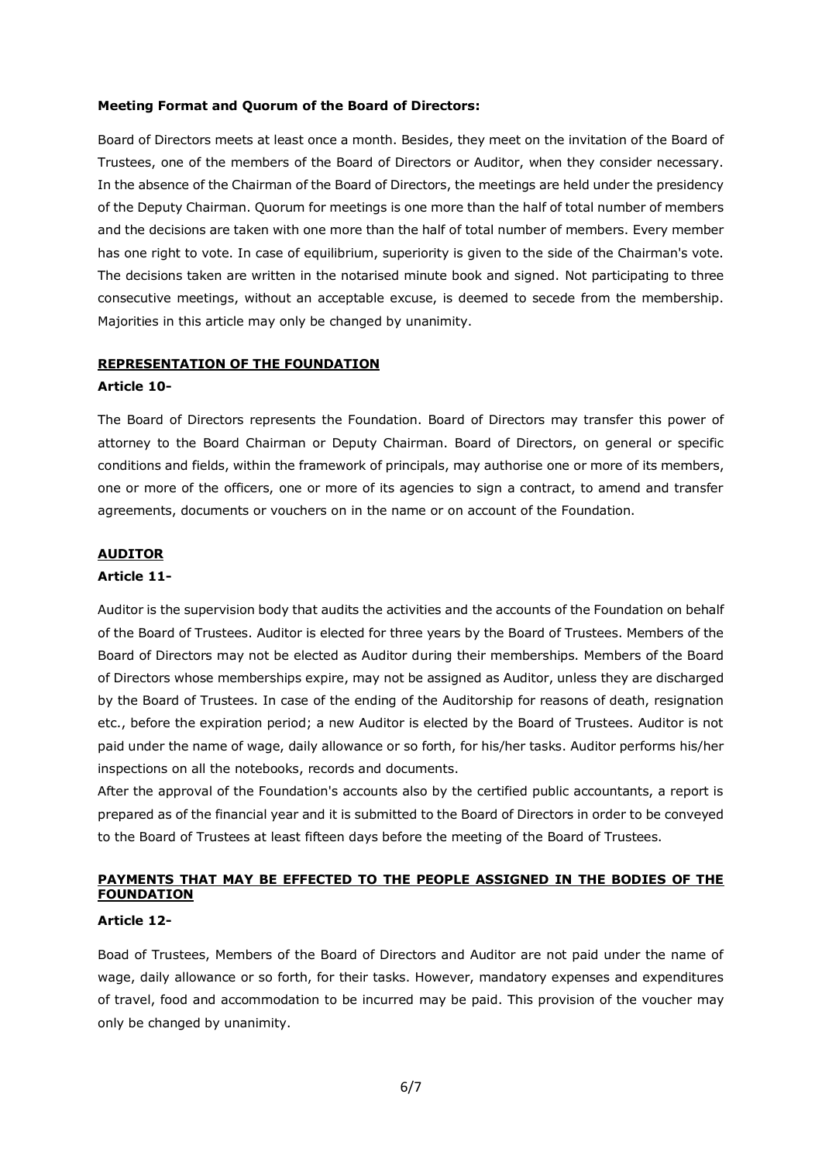#### **Meeting Format and Quorum of the Board of Directors:**

Board of Directors meets at least once a month. Besides, they meet on the invitation of the Board of Trustees, one of the members of the Board of Directors or Auditor, when they consider necessary. In the absence of the Chairman of the Board of Directors, the meetings are held under the presidency of the Deputy Chairman. Quorum for meetings is one more than the half of total number of members and the decisions are taken with one more than the half of total number of members. Every member has one right to vote. In case of equilibrium, superiority is given to the side of the Chairman's vote. The decisions taken are written in the notarised minute book and signed. Not participating to three consecutive meetings, without an acceptable excuse, is deemed to secede from the membership. Majorities in this article may only be changed by unanimity.

### **REPRESENTATION OF THE FOUNDATION**

### **Article 10-**

The Board of Directors represents the Foundation. Board of Directors may transfer this power of attorney to the Board Chairman or Deputy Chairman. Board of Directors, on general or specific conditions and fields, within the framework of principals, may authorise one or more of its members, one or more of the officers, one or more of its agencies to sign a contract, to amend and transfer agreements, documents or vouchers on in the name or on account of the Foundation.

### **AUDITOR**

### **Article 11-**

Auditor is the supervision body that audits the activities and the accounts of the Foundation on behalf of the Board of Trustees. Auditor is elected for three years by the Board of Trustees. Members of the Board of Directors may not be elected as Auditor during their memberships. Members of the Board of Directors whose memberships expire, may not be assigned as Auditor, unless they are discharged by the Board of Trustees. In case of the ending of the Auditorship for reasons of death, resignation etc., before the expiration period; a new Auditor is elected by the Board of Trustees. Auditor is not paid under the name of wage, daily allowance or so forth, for his/her tasks. Auditor performs his/her inspections on all the notebooks, records and documents.

After the approval of the Foundation's accounts also by the certified public accountants, a report is prepared as of the financial year and it is submitted to the Board of Directors in order to be conveyed to the Board of Trustees at least fifteen days before the meeting of the Board of Trustees.

# **PAYMENTS THAT MAY BE EFFECTED TO THE PEOPLE ASSIGNED IN THE BODIES OF THE FOUNDATION**

### **Article 12-**

Boad of Trustees, Members of the Board of Directors and Auditor are not paid under the name of wage, daily allowance or so forth, for their tasks. However, mandatory expenses and expenditures of travel, food and accommodation to be incurred may be paid. This provision of the voucher may only be changed by unanimity.